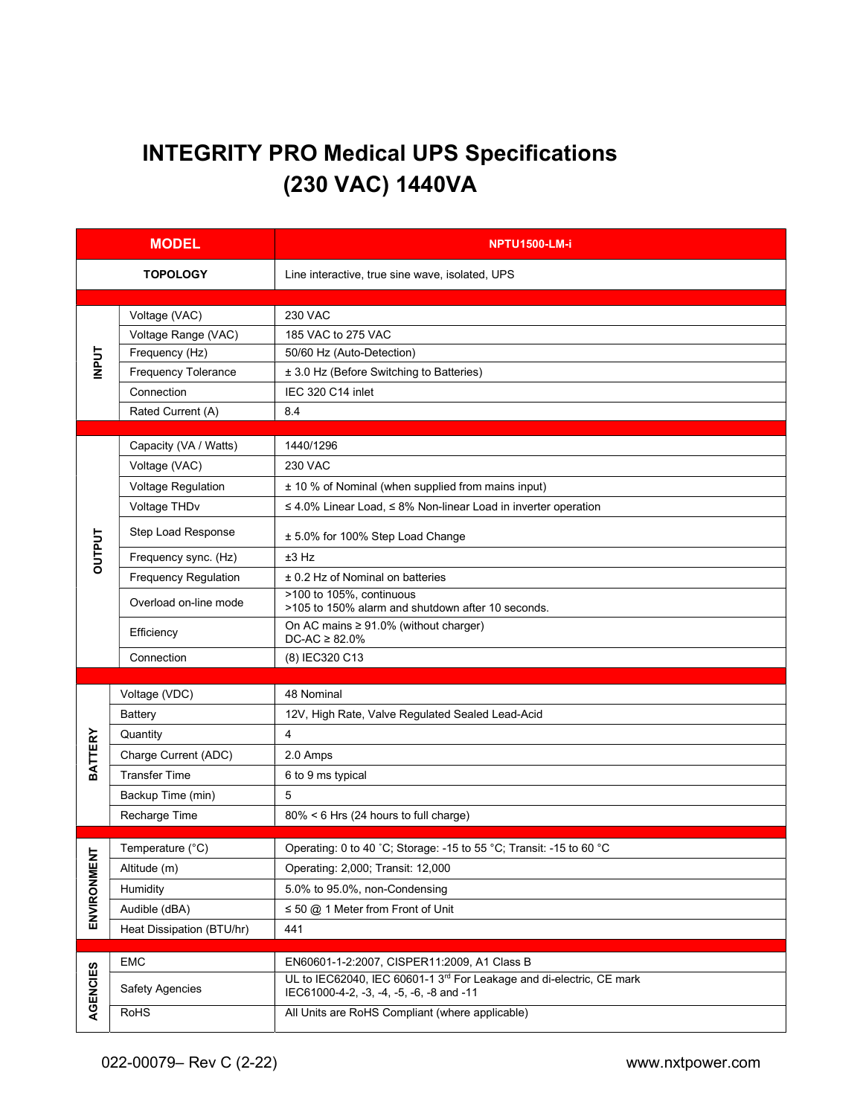# INTEGRITY PRO Medical UPS Specifications (230 VAC) 1440VA

| <b>MODEL</b>   |                           | <b>NPTU1500-LM-i</b>                                                                                             |  |  |
|----------------|---------------------------|------------------------------------------------------------------------------------------------------------------|--|--|
|                | <b>TOPOLOGY</b>           | Line interactive, true sine wave, isolated, UPS                                                                  |  |  |
| <b>INPUT</b>   | Voltage (VAC)             | <b>230 VAC</b>                                                                                                   |  |  |
|                | Voltage Range (VAC)       | 185 VAC to 275 VAC                                                                                               |  |  |
|                | Frequency (Hz)            | 50/60 Hz (Auto-Detection)                                                                                        |  |  |
|                | Frequency Tolerance       | ± 3.0 Hz (Before Switching to Batteries)                                                                         |  |  |
|                | Connection                | IEC 320 C14 inlet                                                                                                |  |  |
|                | Rated Current (A)         | 8.4                                                                                                              |  |  |
|                | Capacity (VA / Watts)     | 1440/1296                                                                                                        |  |  |
| <b>OUTPUT</b>  | Voltage (VAC)             | <b>230 VAC</b>                                                                                                   |  |  |
|                | Voltage Regulation        | ± 10 % of Nominal (when supplied from mains input)                                                               |  |  |
|                | Voltage THDv              | $\leq$ 4.0% Linear Load, $\leq$ 8% Non-linear Load in inverter operation                                         |  |  |
|                |                           |                                                                                                                  |  |  |
|                | Step Load Response        | ± 5.0% for 100% Step Load Change                                                                                 |  |  |
|                | Frequency sync. (Hz)      | ±3 Hz                                                                                                            |  |  |
|                | Frequency Regulation      | ± 0.2 Hz of Nominal on batteries                                                                                 |  |  |
|                | Overload on-line mode     | >100 to 105%, continuous<br>>105 to 150% alarm and shutdown after 10 seconds.                                    |  |  |
|                | Efficiency                | On AC mains $\geq 91.0\%$ (without charger)<br>$DC-AC \geq 82.0\%$                                               |  |  |
|                | Connection                | (8) IEC320 C13                                                                                                   |  |  |
|                |                           |                                                                                                                  |  |  |
|                | Voltage (VDC)             | 48 Nominal                                                                                                       |  |  |
|                | <b>Battery</b>            | 12V, High Rate, Valve Regulated Sealed Lead-Acid                                                                 |  |  |
| <b>BATTERY</b> | Quantity                  | $\overline{4}$                                                                                                   |  |  |
|                | Charge Current (ADC)      | 2.0 Amps                                                                                                         |  |  |
|                | <b>Transfer Time</b>      | 6 to 9 ms typical                                                                                                |  |  |
|                | Backup Time (min)         | 5                                                                                                                |  |  |
|                | Recharge Time             | 80% < 6 Hrs (24 hours to full charge)                                                                            |  |  |
| ち              | Temperature (°C)          | Operating: 0 to 40 °C; Storage: -15 to 55 °C; Transit: -15 to 60 °C                                              |  |  |
|                | Altitude (m)              | Operating: 2,000; Transit: 12,000                                                                                |  |  |
|                | Humidity                  | 5.0% to 95.0%, non-Condensing                                                                                    |  |  |
| ENVIRONME      | Audible (dBA)             | $\leq$ 50 @ 1 Meter from Front of Unit                                                                           |  |  |
|                | Heat Dissipation (BTU/hr) | 441                                                                                                              |  |  |
|                | EMC                       | EN60601-1-2:2007, CISPER11:2009, A1 Class B                                                                      |  |  |
| AGENCIES       | <b>Safety Agencies</b>    | UL to IEC62040, IEC 60601-1 3rd For Leakage and di-electric, CE mark<br>IEC61000-4-2, -3, -4, -5, -6, -8 and -11 |  |  |
|                |                           |                                                                                                                  |  |  |
|                | RoHS                      | All Units are RoHS Compliant (where applicable)                                                                  |  |  |